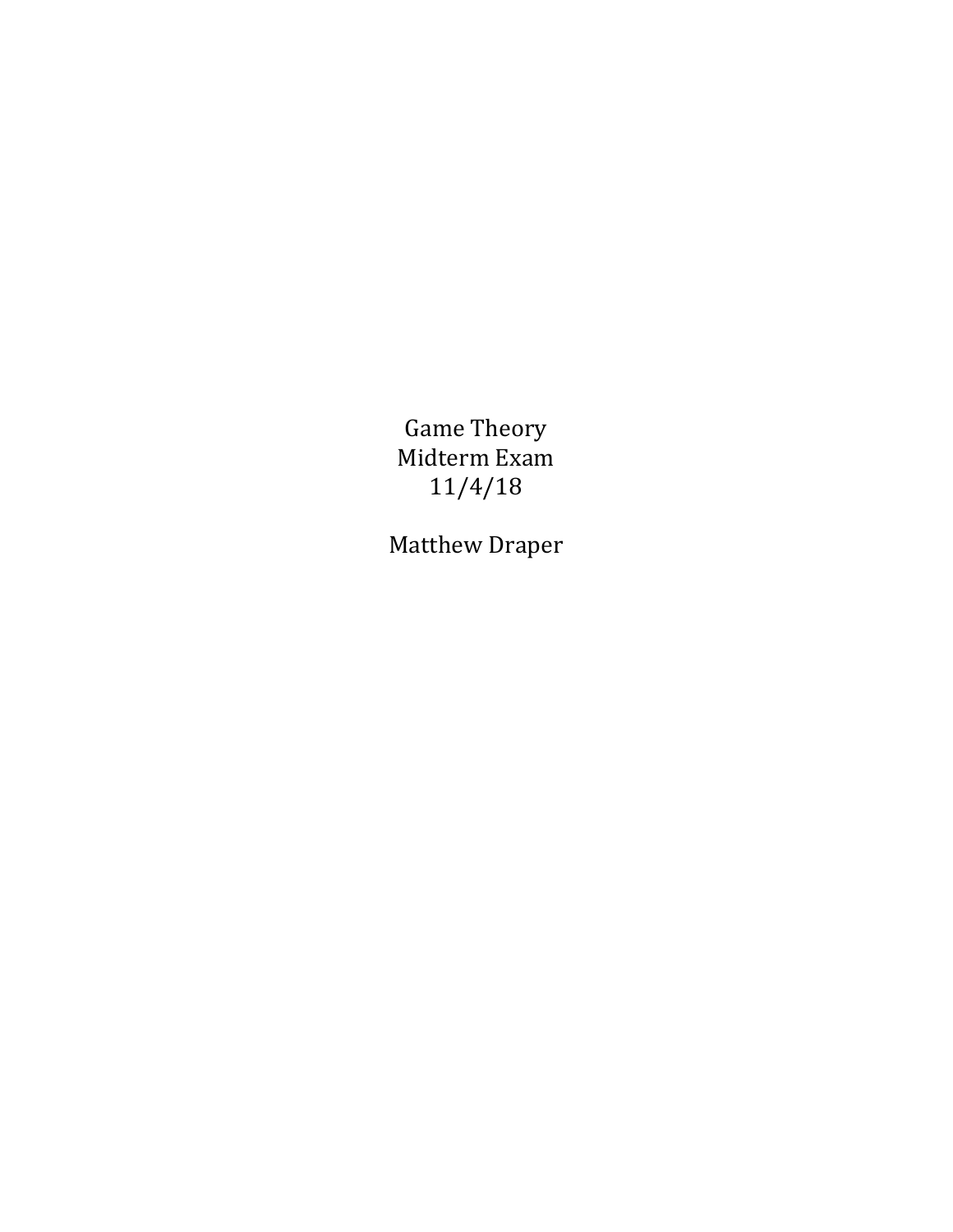Game Theory Midterm Exam 11/4/18

Matthew Draper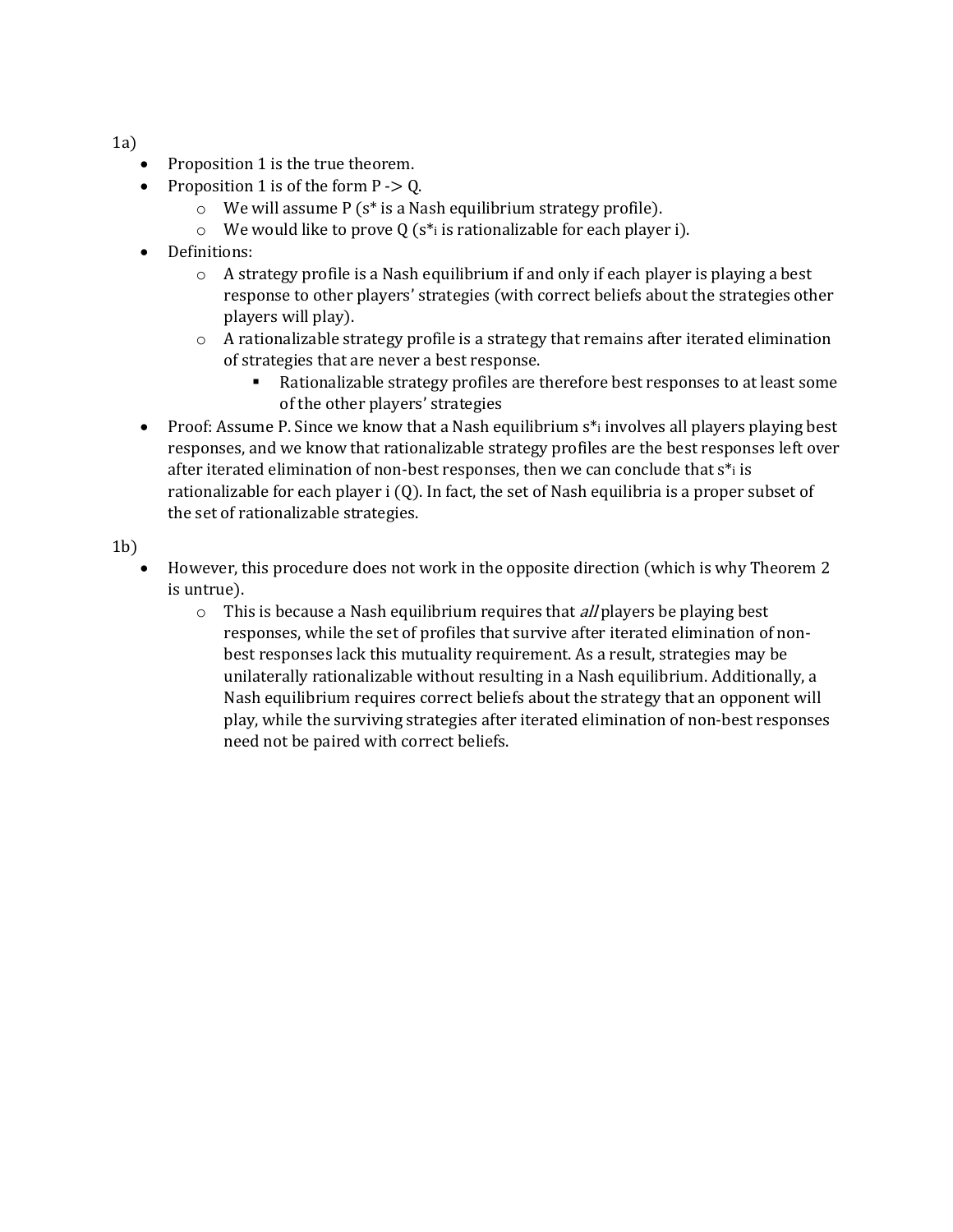1a)

- Proposition 1 is the true theorem.
- Proposition 1 is of the form  $P \ge Q$ .
	- $\circ$  We will assume P (s<sup>\*</sup> is a Nash equilibrium strategy profile).
	- $\circ$  We would like to prove Q (s<sup>\*</sup>i is rationalizable for each player i).
- Definitions:
	- $\circ$  A strategy profile is a Nash equilibrium if and only if each player is playing a best response to other players' strategies (with correct beliefs about the strategies other players will play).
	- $\circ$  A rationalizable strategy profile is a strategy that remains after iterated elimination of strategies that are never a best response.
		- Rationalizable strategy profiles are therefore best responses to at least some of the other players' strategies
- Proof: Assume P. Since we know that a Nash equilibrium  $s^*$  involves all players playing best responses, and we know that rationalizable strategy profiles are the best responses left over after iterated elimination of non-best responses, then we can conclude that  $s^*$  is rationalizable for each player i (Q). In fact, the set of Nash equilibria is a proper subset of the set of rationalizable strategies.

1b)

- However, this procedure does not work in the opposite direction (which is why Theorem 2 is untrue).
	- $\circ$  This is because a Nash equilibrium requires that *all* players be playing best responses, while the set of profiles that survive after iterated elimination of nonbest responses lack this mutuality requirement. As a result, strategies may be unilaterally rationalizable without resulting in a Nash equilibrium. Additionally, a Nash equilibrium requires correct beliefs about the strategy that an opponent will play, while the surviving strategies after iterated elimination of non-best responses need not be paired with correct beliefs.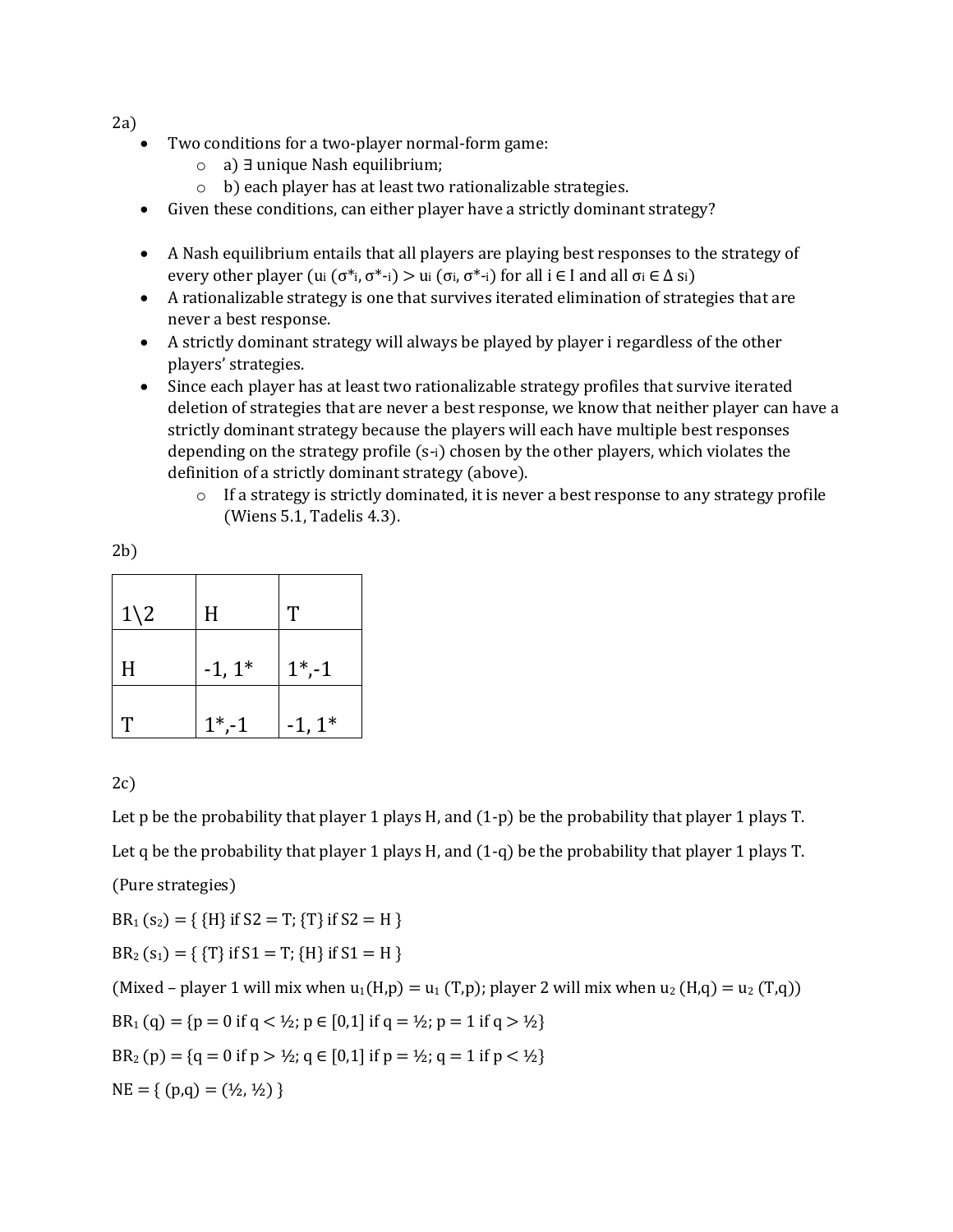$2a)$ 

- Two conditions for a two-player normal-form game:
	- o a) ∃ unique Nash equilibrium;
	- o b) each player has at least two rationalizable strategies.
- Given these conditions, can either player have a strictly dominant strategy?
- A Nash equilibrium entails that all players are playing best responses to the strategy of every other player (ui ( $\sigma^*$ i,  $\sigma^*$ -i) > ui ( $\sigma$ i,  $\sigma^*$ -i) for all i  $\in$  I and all  $\sigma$ i  $\in$   $\Delta$  si)
- A rationalizable strategy is one that survives iterated elimination of strategies that are never a best response.
- A strictly dominant strategy will always be played by player i regardless of the other players' strategies.
- Since each player has at least two rationalizable strategy profiles that survive iterated deletion of strategies that are never a best response, we know that neither player can have a strictly dominant strategy because the players will each have multiple best responses depending on the strategy profile (s-i) chosen by the other players, which violates the definition of a strictly dominant strategy (above).
	- $\circ$  If a strategy is strictly dominated, it is never a best response to any strategy profile (Wiens 5.1, Tadelis 4.3).

| of the<br>۰. |
|--------------|

| $1\backslash 2$ | H        | T         |
|-----------------|----------|-----------|
| H               | $-1, 1*$ | $1^*$ ,-1 |
| T               | $1^*,-1$ | $-1, 1^*$ |

## 2c)

Let p be the probability that player 1 plays H, and  $(1-p)$  be the probability that player 1 plays T. Let q be the probability that player 1 plays H, and  $(1-q)$  be the probability that player 1 plays T.

(Pure strategies)

 $BR_1$  (s<sub>2</sub>) = { {H} if S2 = T; {T} if S2 = H }

 $BR_2$  (s<sub>1</sub>) = { {T} if S1 = T; {H} if S1 = H }

(Mixed – player 1 will mix when  $u_1(H,p) = u_1(T,p)$ ; player 2 will mix when  $u_2(H,q) = u_2(T,q)$ ) BR<sub>1</sub> (q) = {p = 0 if q < ½; p  $\in$  [0,1] if q = ½; p = 1 if q > ½} BR<sub>2</sub> (p) = {q = 0 if p >  $\frac{1}{2}$ ; q  $\in$  [0,1] if p =  $\frac{1}{2}$ ; q = 1 if p <  $\frac{1}{2}$ }  $NE = \{ (p,q) = (\frac{1}{2}, \frac{1}{2}) \}$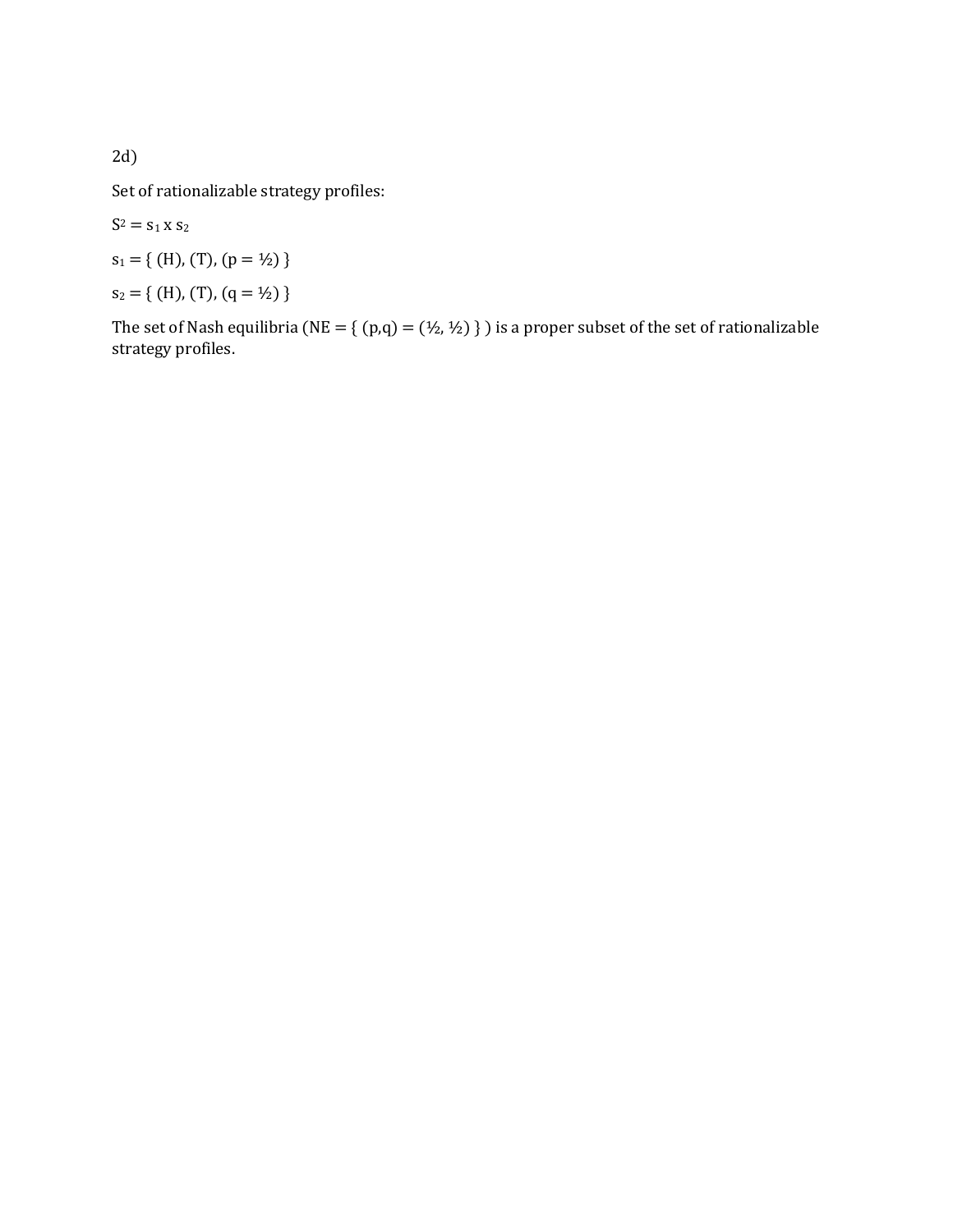2d)

Set of rationalizable strategy profiles:

 $S^2 = s_1 x s_2$ 

$$
s_1 = \{ (H), (T), (p = \frac{1}{2}) \}
$$

 $s_2 = \{ (H), (T), (q = 1/2) \}$ 

The set of Nash equilibria (NE = {  $(p,q)$  =  $(\frac{1}{2}, \frac{1}{2})$  } ) is a proper subset of the set of rationalizable strategy profiles.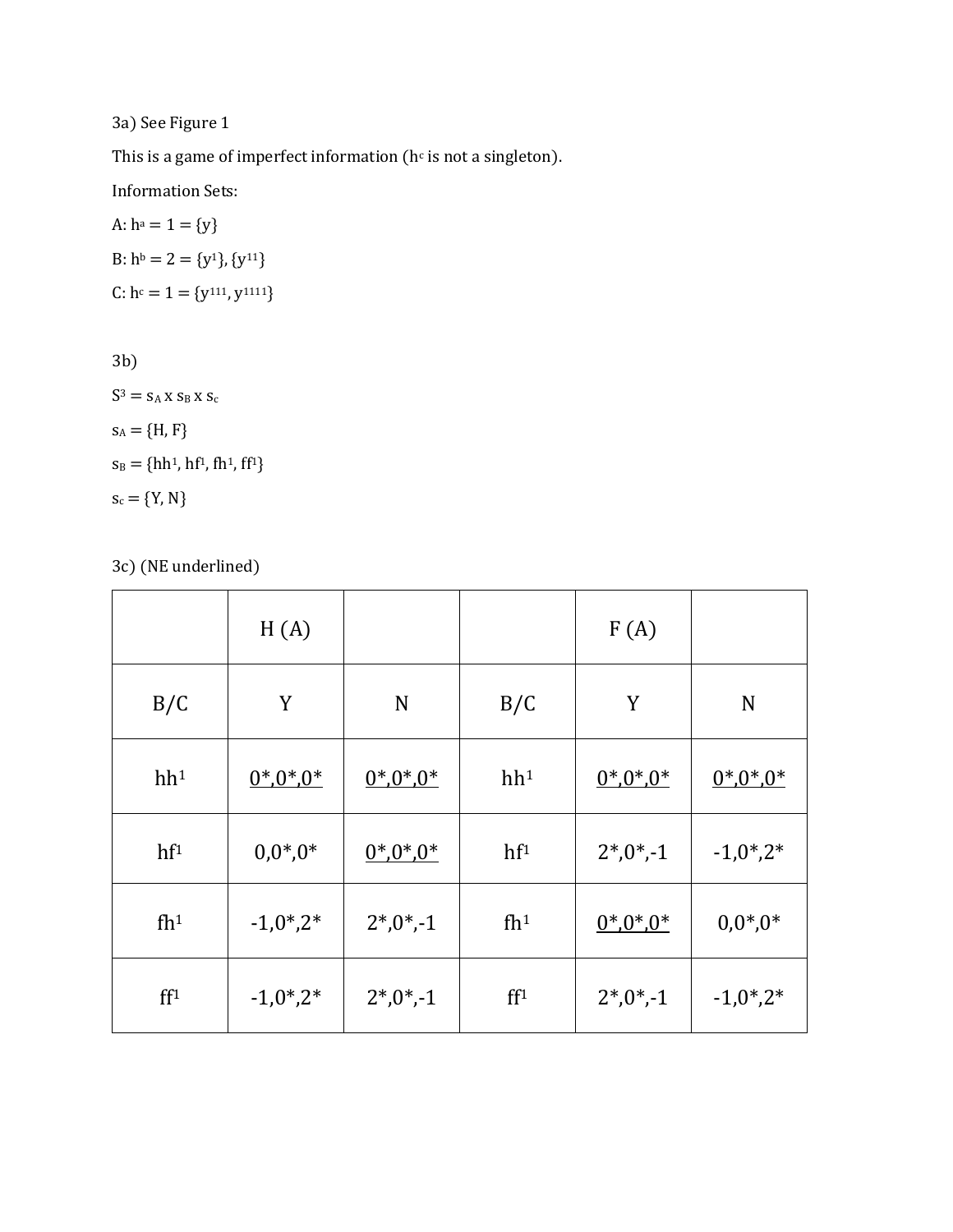3a) See Figure 1

This is a game of imperfect information ( $h<sup>c</sup>$  is not a singleton).

Information Sets:

A: 
$$
h^a = 1 = \{y\}
$$
  
B:  $h^b = 2 = \{y^1\}$ ,  $\{y^{11}\}$   
C:  $h^c = 1 = \{y^{111}, y^{1111}\}$ 

3b)

 $\mathrm{S}^3 = \mathrm{S}_\mathrm{A}$ x $\mathrm{S}_\mathrm{B}$ x $\mathrm{S}_\mathrm{C}$  $s_A = {H, F}$  $s_B = \{hh^1, hf^1, fh^1, ff^1\}$  $\boldsymbol{s_c} = \{ \boldsymbol{Y}, \, \boldsymbol{N} \}$ 

3c) (NE underlined)

|                 | H(A)             |             |                 | F(A)        |                  |
|-----------------|------------------|-------------|-----------------|-------------|------------------|
| B/C             | Y                | N           | B/C             | Y           | N                |
| hh <sup>1</sup> | $0^*0^*0^*$      | $0^*0^*0^*$ | hh <sup>1</sup> | $0^*0^*0^*$ | $0^*0^*0^*$      |
| hf <sup>1</sup> | $0,0^*$ , $0^*$  | $0^*0^*0^*$ | hf <sup>1</sup> | $2*,0*,-1$  | $-1,0^*$ , $2^*$ |
| fh <sup>1</sup> | $-1,0^*$ , $2^*$ | $2*,0*,-1$  | fh <sup>1</sup> | $0^*0^*0^*$ | $0,0^*$ , $0^*$  |
| ff <sup>1</sup> | $-1,0^*$ , $2^*$ | $2*,0*,-1$  | ff <sup>1</sup> | $2^*0^*$ -1 | $-1,0^*$ , $2^*$ |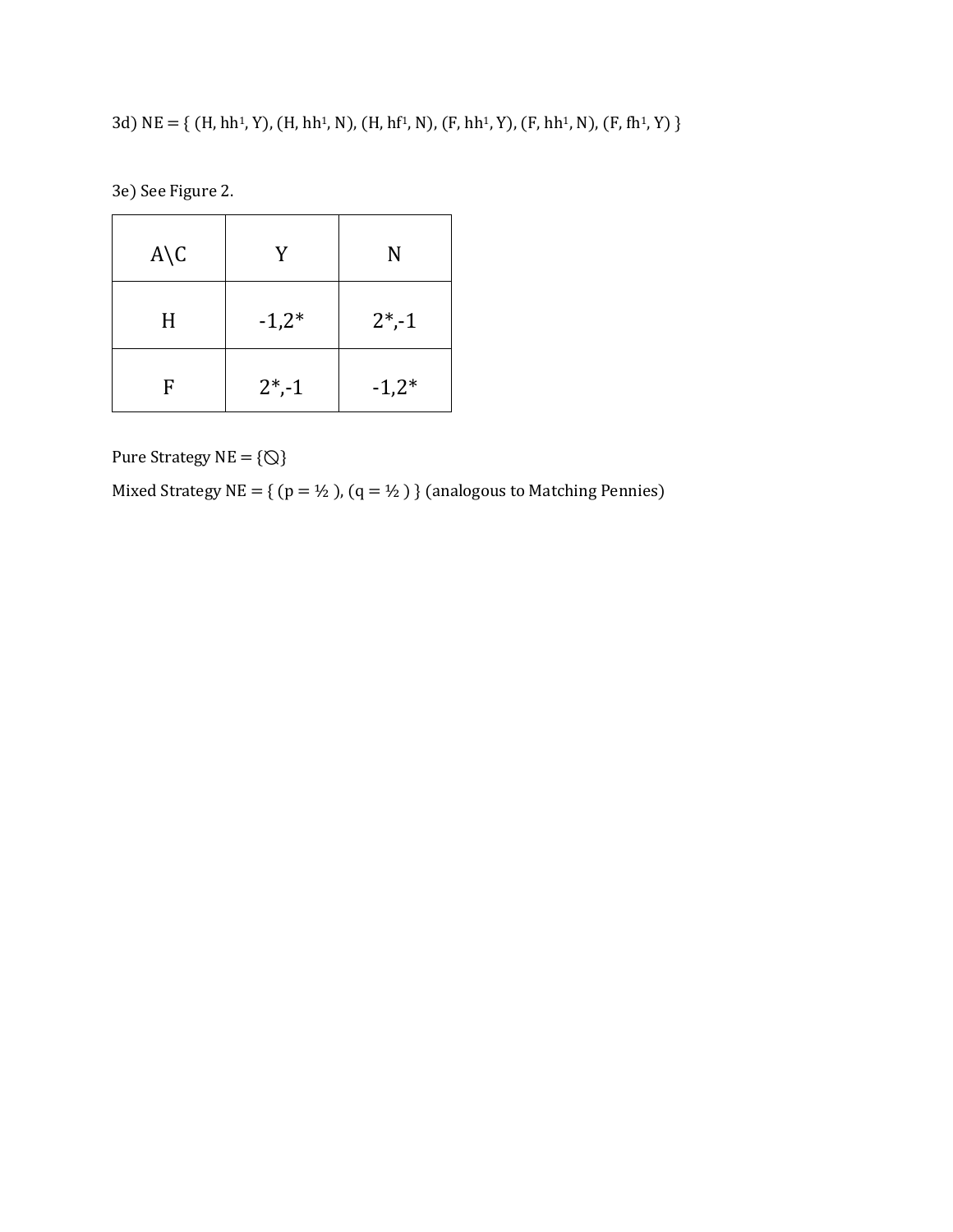3d) NE = { (H, hh1, Y), (H, hh1, N), (H, hf1, N), (F, hh1, Y), (F, hh1, N), (F, fh1, Y) }

3e) See Figure 2.

| $A \setminus C$ | V         | N         |  |
|-----------------|-----------|-----------|--|
| H               | $-1,2*$   | $2^*$ ,-1 |  |
| F               | $2^*$ ,-1 | $-1,2*$   |  |

Pure Strategy  $NE = \{\textcircled{Q}\}$ 

Mixed Strategy NE = { (p = ½ ), (q = ½ ) } (analogous to Matching Pennies)